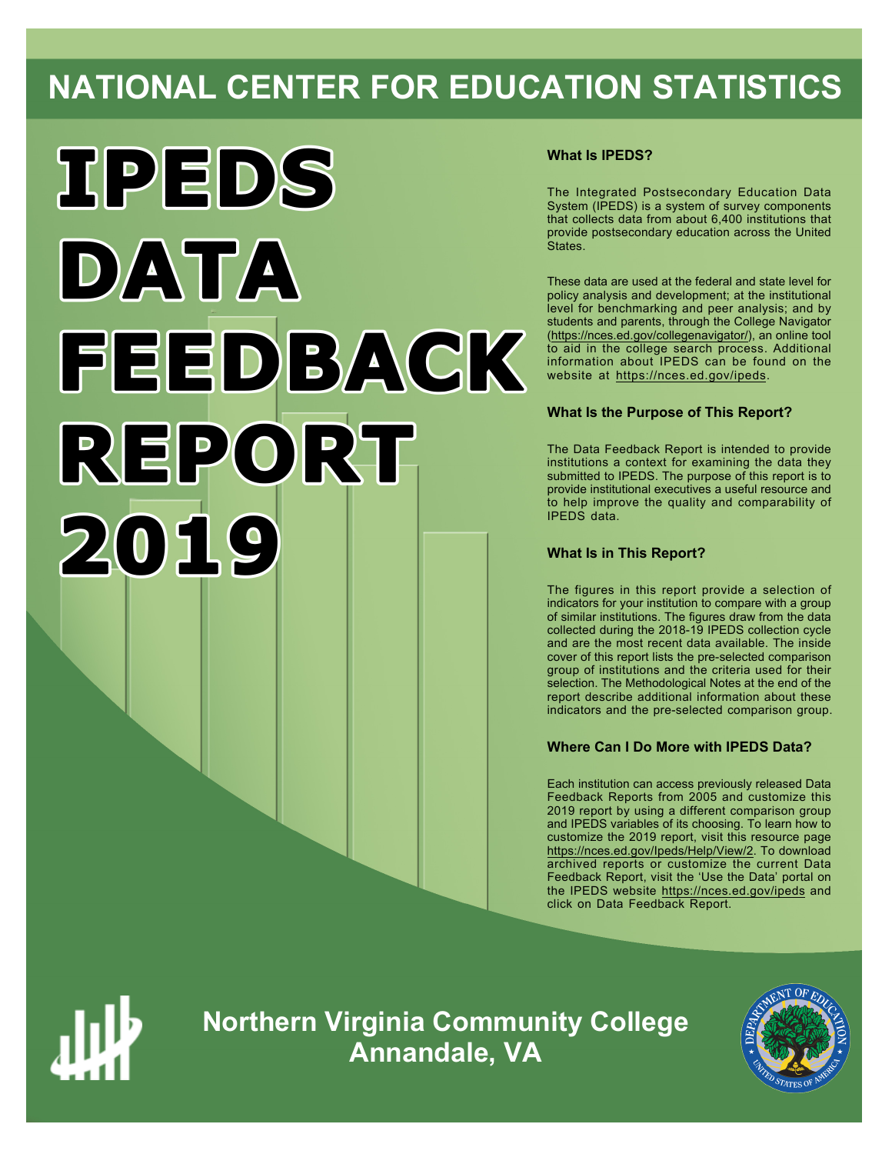# **NATIONAL CENTER FOR EDUCATION STATISTICS**



### **What Is IPEDS?**

The Integrated Postsecondary Education Data System (IPEDS) is a system of survey components that collects data from about 6,400 institutions that provide postsecondary education across the United States.

These data are used at the federal and state level for policy analysis and development; at the institutional level for benchmarking and peer analysis; and by students and parents, through the College Navigator ([https://nces.ed.gov/collegenavigator/\)](https://nces.ed.gov/collegenavigator/), an online tool to aid in the college search process. Additional information about IPEDS can be found on the website at<https://nces.ed.gov/ipeds>.

### **What Is the Purpose of This Report?**

The Data Feedback Report is intended to provide institutions a context for examining the data they submitted to IPEDS. The purpose of this report is to provide institutional executives a useful resource and to help improve the quality and comparability of IPEDS data.

### **What Is in This Report?**

The figures in this report provide a selection of indicators for your institution to compare with a group of similar institutions. The figures draw from the data collected during the 2018-19 IPEDS collection cycle and are the most recent data available. The inside cover of this report lists the pre-selected comparison group of institutions and the criteria used for their selection. The Methodological Notes at the end of the report describe additional information about these indicators and the pre-selected comparison group.

### **Where Can I Do More with IPEDS Data?**

Each institution can access previously released Data Feedback Reports from 2005 and customize this 2019 report by using a different comparison group and IPEDS variables of its choosing. To learn how to customize the 2019 report, visit this resource page <https://nces.ed.gov/Ipeds/Help/View/2>. To download archived reports or customize the current Data Feedback Report, visit the 'Use the Data' portal on the IPEDS website<https://nces.ed.gov/ipeds> and click on Data Feedback Report.



**Northern Virginia Community College Annandale, VA**

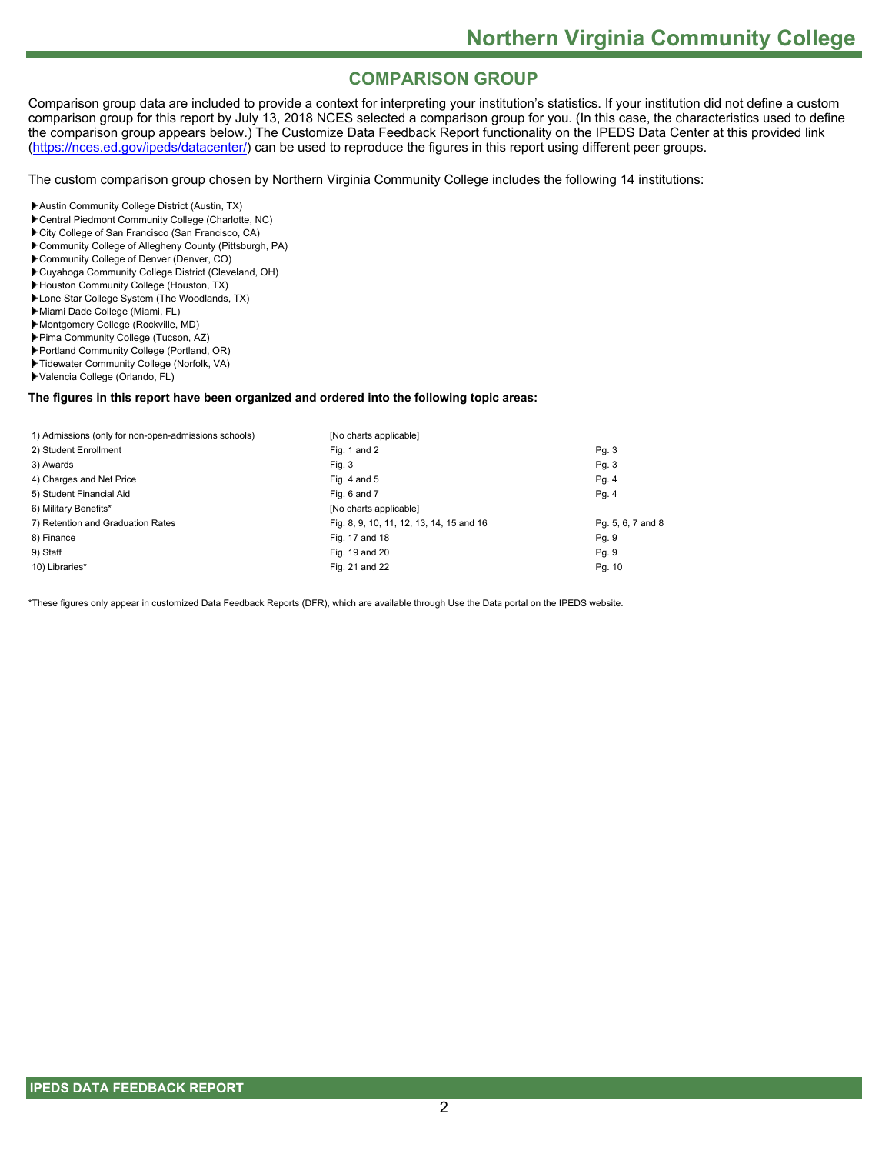# **COMPARISON GROUP**

Comparison group data are included to provide a context for interpreting your institution's statistics. If your institution did not define a custom comparison group for this report by July 13, 2018 NCES selected a comparison group for you. (In this case, the characteristics used to define the comparison group appears below.) The Customize Data Feedback Report functionality on the IPEDS Data Center at this provided link [\(https://nces.ed.gov/ipeds/datacenter/](https://nces.ed.gov/ipeds/datacenter/)) can be used to reproduce the figures in this report using different peer groups.

The custom comparison group chosen by Northern Virginia Community College includes the following 14 institutions:

- Austin Community College District (Austin, TX)
- Central Piedmont Community College (Charlotte, NC)
- City College of San Francisco (San Francisco, CA)
- Community College of Allegheny County (Pittsburgh, PA)
- Community College of Denver (Denver, CO)
- Cuyahoga Community College District (Cleveland, OH)
- Houston Community College (Houston, TX)
- Lone Star College System (The Woodlands, TX)
- Miami Dade College (Miami, FL)
- Montgomery College (Rockville, MD)
- Pima Community College (Tucson, AZ)
- Portland Community College (Portland, OR)
- Tidewater Community College (Norfolk, VA)
- Valencia College (Orlando, FL)

#### **The figures in this report have been organized and ordered into the following topic areas:**

| 1) Admissions (only for non-open-admissions schools) | [No charts applicable]                   |                   |
|------------------------------------------------------|------------------------------------------|-------------------|
| 2) Student Enrollment                                | Fig. 1 and 2                             | Pg. 3             |
| 3) Awards                                            | Fig. 3                                   | Pg. 3             |
| 4) Charges and Net Price                             | Fig. 4 and $5$                           | Pg. 4             |
| 5) Student Financial Aid                             | Fig. 6 and 7                             | Pg.4              |
| 6) Military Benefits*                                | [No charts applicable]                   |                   |
| 7) Retention and Graduation Rates                    | Fig. 8, 9, 10, 11, 12, 13, 14, 15 and 16 | Pg. 5, 6, 7 and 8 |
| 8) Finance                                           | Fig. 17 and 18                           | Pg. 9             |
| 9) Staff                                             | Fig. 19 and 20                           | Pg. 9             |
| 10) Libraries*                                       | Fig. 21 and 22                           | Pg. 10            |

\*These figures only appear in customized Data Feedback Reports (DFR), which are available through Use the Data portal on the IPEDS website.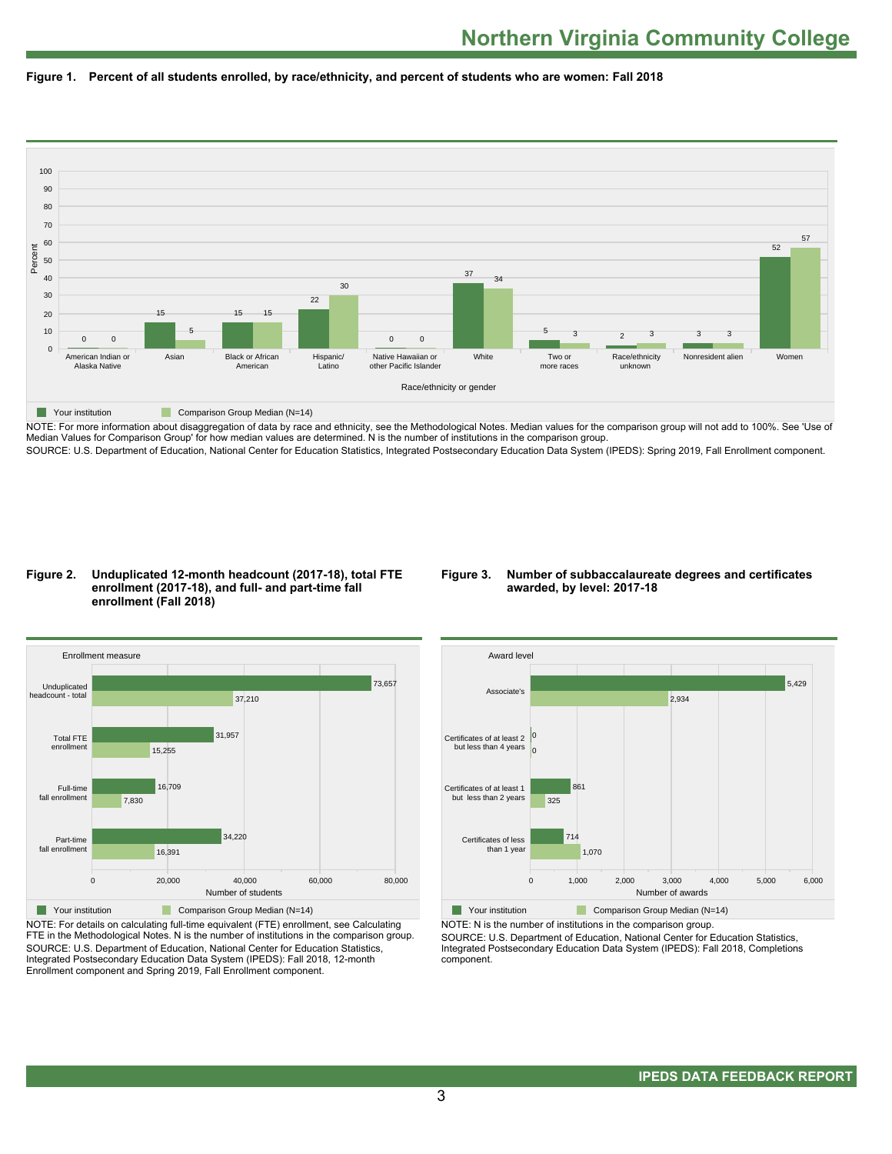



NOTE: For more information about disaggregation of data by race and ethnicity, see the Methodological Notes. Median values for the comparison group will not add to 100%. See 'Use of Median Values for Comparison Group' for how median values are determined. N is the number of institutions in the comparison group. SOURCE: U.S. Department of Education, National Center for Education Statistics, Integrated Postsecondary Education Data System (IPEDS): Spring 2019, Fall Enrollment component.

#### **Figure 2. Unduplicated 12-month headcount (2017-18), total FTE enrollment (2017-18), and full- and part-time fall enrollment (Fall 2018)**

#### **Figure 3. Number of subbaccalaureate degrees and certificates awarded, by level: 2017-18**



NOTE: For details on calculating full-time equivalent (FTE) enrollment, see Calculating FTE in the Methodological Notes. N is the number of institutions in the comparison group. SOURCE: U.S. Department of Education, National Center for Education Statistics, Integrated Postsecondary Education Data System (IPEDS): Fall 2018, 12-month Enrollment component and Spring 2019, Fall Enrollment component.



NOTE: N is the number of institutions in the comparison group.

SOURCE: U.S. Department of Education, National Center for Education Statistics, Integrated Postsecondary Education Data System (IPEDS): Fall 2018, Completions component.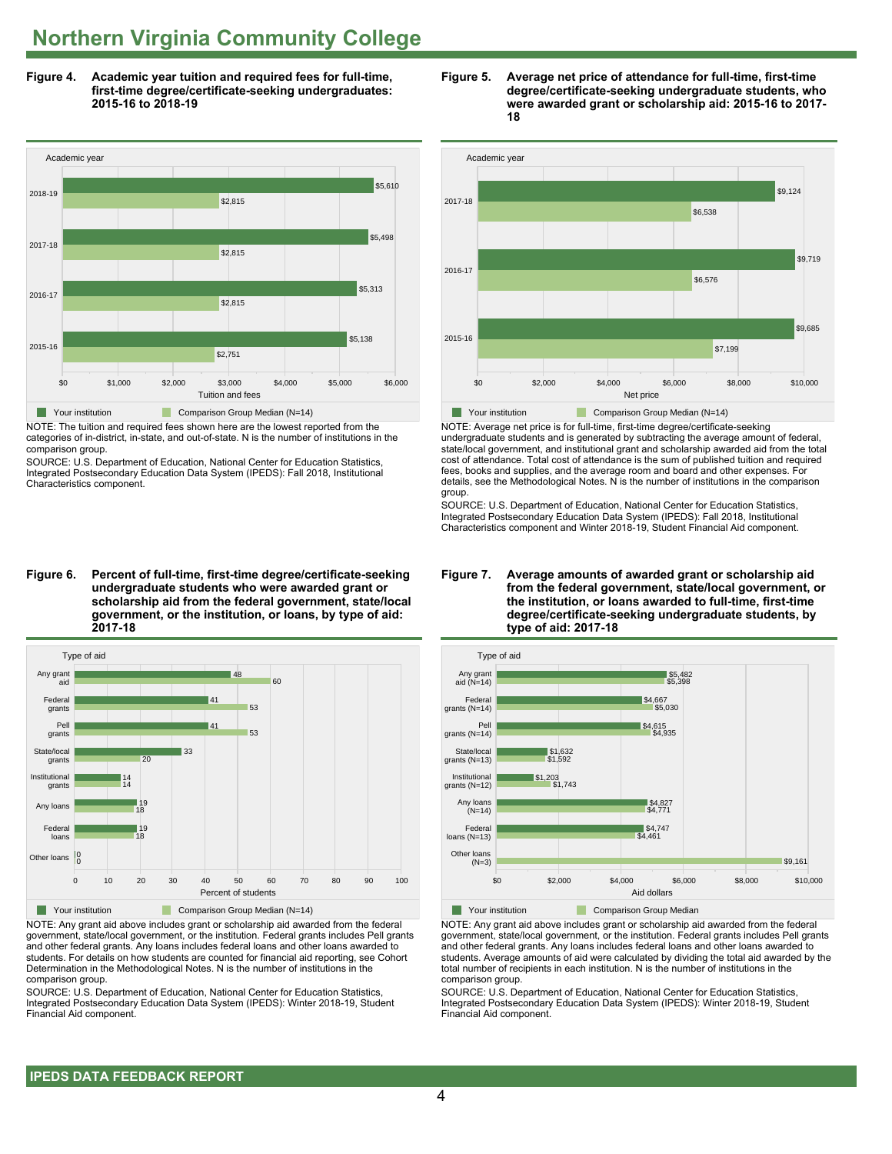**Figure 4. Academic year tuition and required fees for full-time, first-time degree/certificate-seeking undergraduates: 2015-16 to 2018-19**



NOTE: The tuition and required fees shown here are the lowest reported from the categories of in-district, in-state, and out-of-state. N is the number of institutions in the comparison group.

SOURCE: U.S. Department of Education, National Center for Education Statistics, Integrated Postsecondary Education Data System (IPEDS): Fall 2018, Institutional Characteristics component.

**Figure 6. Percent of full-time, first-time degree/certificate-seeking undergraduate students who were awarded grant or scholarship aid from the federal government, state/local government, or the institution, or loans, by type of aid: 2017-18**



NOTE: Any grant aid above includes grant or scholarship aid awarded from the federal government, state/local government, or the institution. Federal grants includes Pell grants and other federal grants. Any loans includes federal loans and other loans awarded to students. For details on how students are counted for financial aid reporting, see Cohort Determination in the Methodological Notes. N is the number of institutions in the comparison group.

SOURCE: U.S. Department of Education, National Center for Education Statistics, Integrated Postsecondary Education Data System (IPEDS): Winter 2018-19, Student Financial Aid component.





NOTE: Average net price is for full-time, first-time degree/certificate-seeking undergraduate students and is generated by subtracting the average amount of federal, state/local government, and institutional grant and scholarship awarded aid from the total cost of attendance. Total cost of attendance is the sum of published tuition and required fees, books and supplies, and the average room and board and other expenses. For details, see the Methodological Notes. N is the number of institutions in the comparison group.

SOURCE: U.S. Department of Education, National Center for Education Statistics, Integrated Postsecondary Education Data System (IPEDS): Fall 2018, Institutional Characteristics component and Winter 2018-19, Student Financial Aid component.





NOTE: Any grant aid above includes grant or scholarship aid awarded from the federal government, state/local government, or the institution. Federal grants includes Pell grants and other federal grants. Any loans includes federal loans and other loans awarded to students. Average amounts of aid were calculated by dividing the total aid awarded by the total number of recipients in each institution. N is the number of institutions in the comparison group.

SOURCE: U.S. Department of Education, National Center for Education Statistics, Integrated Postsecondary Education Data System (IPEDS): Winter 2018-19, Student Financial Aid component.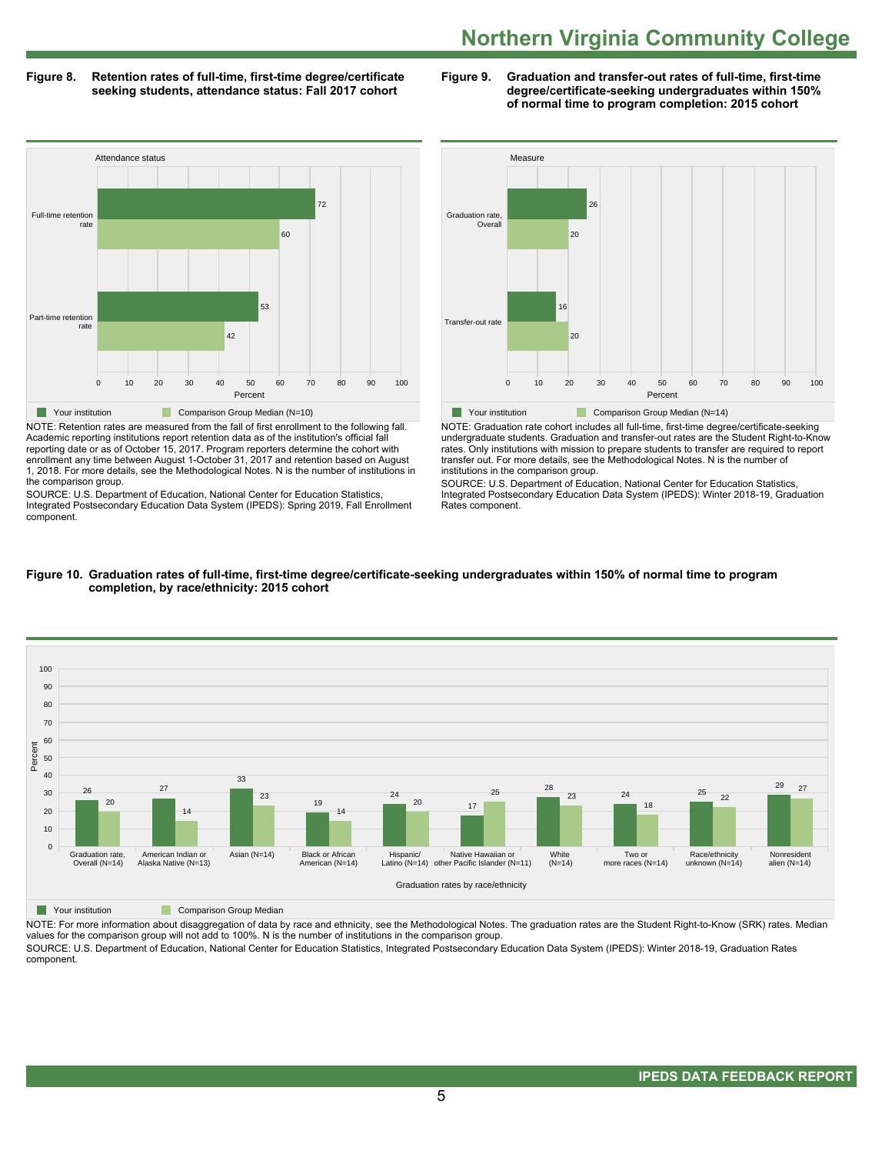#### **Figure 8. Retention rates of full-time, first-time degree/certificate seeking students, attendance status: Fall 2017 cohort**

**Figure 9. Graduation and transfer-out rates of full-time, first-time degree/certificate-seeking undergraduates within 150% of normal time to program completion: 2015 cohort**



NOTE: Retention rates are measured from the fall of first enrollment to the following fall. Academic reporting institutions report retention data as of the institution's official fall reporting date or as of October 15, 2017. Program reporters determine the cohort with enrollment any time between August 1-October 31, 2017 and retention based on August 1, 2018. For more details, see the Methodological Notes. N is the number of institutions in the comparison group.

SOURCE: U.S. Department of Education, National Center for Education Statistics, Integrated Postsecondary Education Data System (IPEDS): Spring 2019, Fall Enrollment component.



NOTE: Graduation rate cohort includes all full-time, first-time degree/certificate-seeking undergraduate students. Graduation and transfer-out rates are the Student Right-to-Know rates. Only institutions with mission to prepare students to transfer are required to report transfer out. For more details, see the Methodological Notes. N is the number of institutions in the comparison group.

SOURCE: U.S. Department of Education, National Center for Education Statistics, Integrated Postsecondary Education Data System (IPEDS): Winter 2018-19, Graduation Rates component.



#### **Figure 10. Graduation rates of full-time, first-time degree/certificate-seeking undergraduates within 150% of normal time to program completion, by race/ethnicity: 2015 cohort**

**The Comparison Group Median** 

NOTE: For more information about disaggregation of data by race and ethnicity, see the Methodological Notes. The graduation rates are the Student Right-to-Know (SRK) rates. Median values for the comparison group will not add to 100%. N is the number of institutions in the comparison group. SOURCE: U.S. Department of Education, National Center for Education Statistics, Integrated Postsecondary Education Data System (IPEDS): Winter 2018-19, Graduation Rates

component.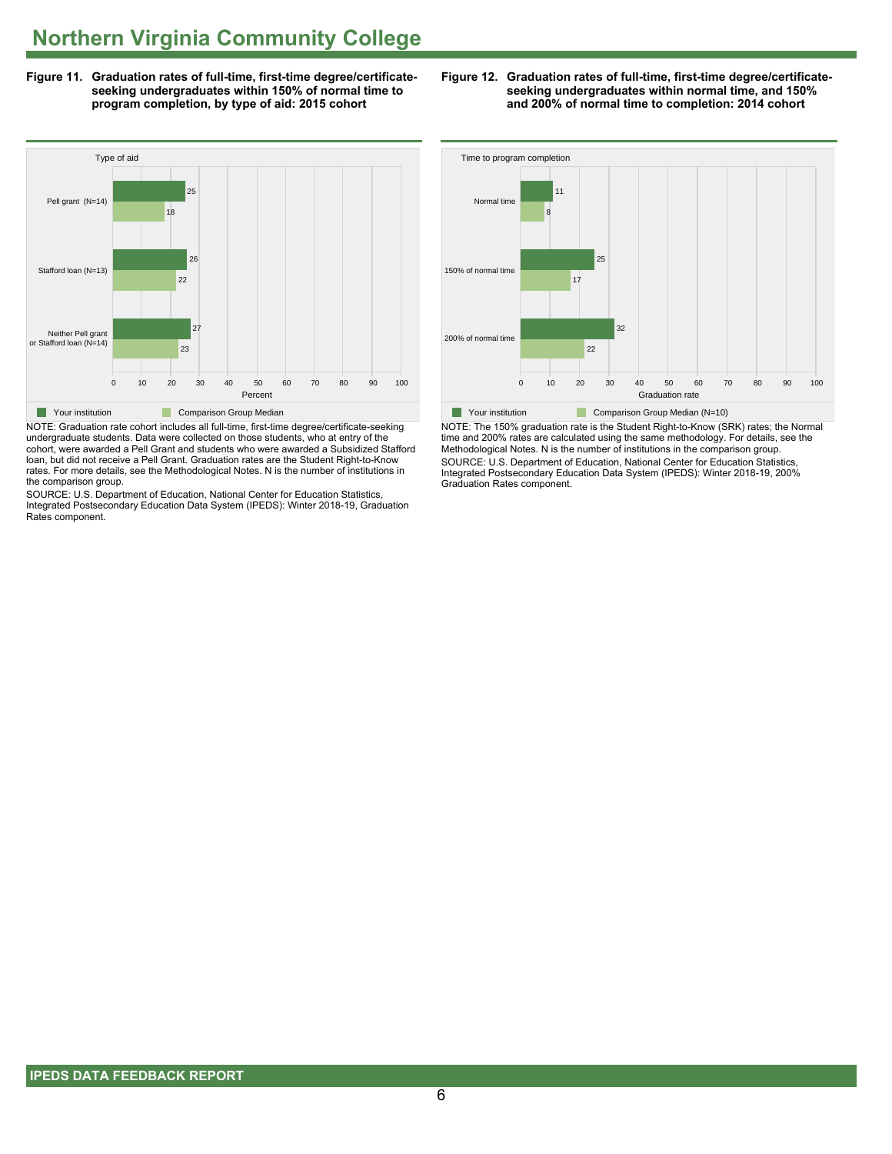**Figure 11. Graduation rates of full-time, first-time degree/certificateseeking undergraduates within 150% of normal time to program completion, by type of aid: 2015 cohort**



NOTE: Graduation rate cohort includes all full-time, first-time degree/certificate-seeking undergraduate students. Data were collected on those students, who at entry of the cohort, were awarded a Pell Grant and students who were awarded a Subsidized Stafford loan, but did not receive a Pell Grant. Graduation rates are the Student Right-to-Know rates. For more details, see the Methodological Notes. N is the number of institutions in the comparison group.

SOURCE: U.S. Department of Education, National Center for Education Statistics, Integrated Postsecondary Education Data System (IPEDS): Winter 2018-19, Graduation Rates component.





NOTE: The 150% graduation rate is the Student Right-to-Know (SRK) rates; the Normal time and 200% rates are calculated using the same methodology. For details, see the Methodological Notes. N is the number of institutions in the comparison group. SOURCE: U.S. Department of Education, National Center for Education Statistics, Integrated Postsecondary Education Data System (IPEDS): Winter 2018-19, 200% Graduation Rates component.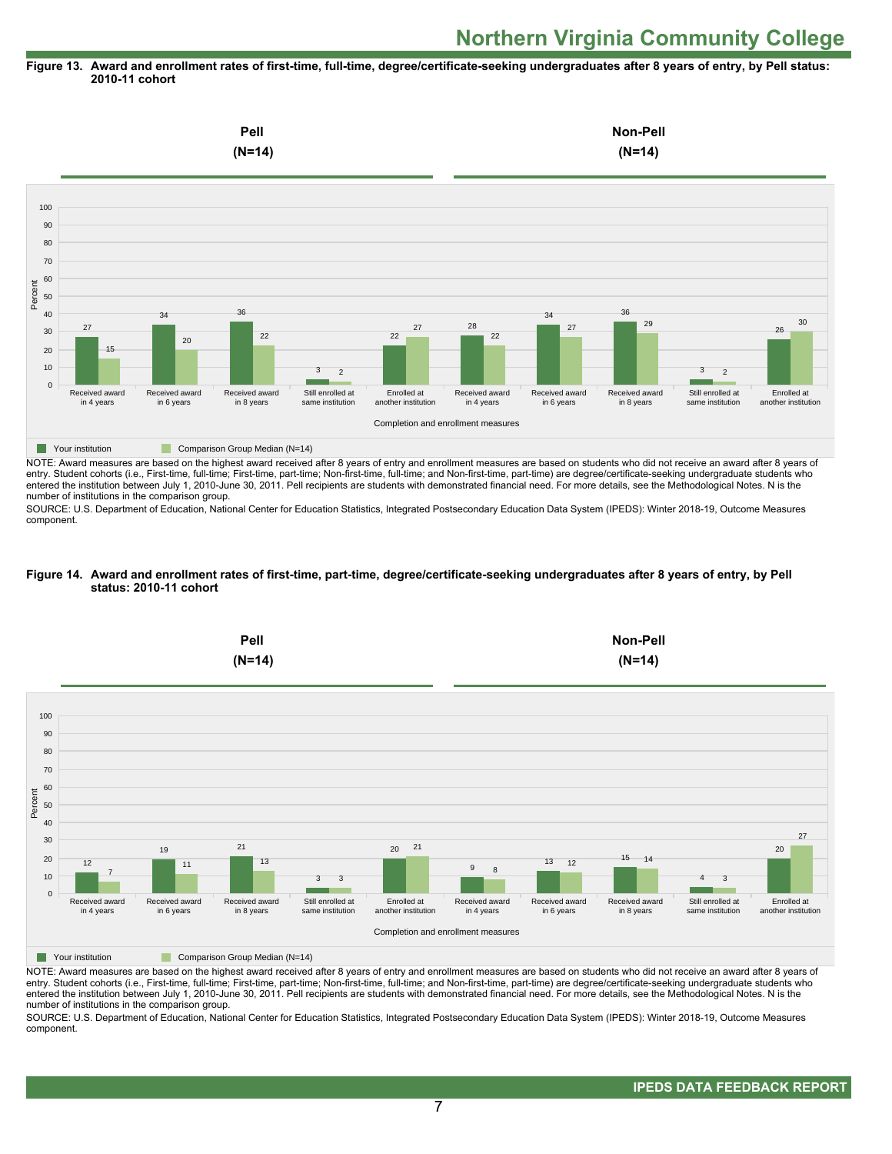#### **Figure 13. Award and enrollment rates of first-time, full-time, degree/certificate-seeking undergraduates after 8 years of entry, by Pell status: 2010-11 cohort**



NOTE: Award measures are based on the highest award received after 8 years of entry and enrollment measures are based on students who did not receive an award after 8 years of entry. Student cohorts (i.e., First-time, full-time; First-time, part-time; Non-first-time, full-time; and Non-first-time, part-time) are degree/certificate-seeking undergraduate students who entered the institution between July 1, 2010-June 30, 2011. Pell recipients are students with demonstrated financial need. For more details, see the Methodological Notes. N is the number of institutions in the comparison group.

SOURCE: U.S. Department of Education, National Center for Education Statistics, Integrated Postsecondary Education Data System (IPEDS): Winter 2018-19, Outcome Measures component.

#### **Figure 14. Award and enrollment rates of first-time, part-time, degree/certificate-seeking undergraduates after 8 years of entry, by Pell status: 2010-11 cohort**



NOTE: Award measures are based on the highest award received after 8 years of entry and enrollment measures are based on students who did not receive an award after 8 years of entry. Student cohorts (i.e., First-time, full-time; First-time, part-time; Non-first-time, full-time; and Non-first-time, part-time) are degree/certificate-seeking undergraduate students who entered the institution between July 1, 2010-June 30, 2011. Pell recipients are students with demonstrated financial need. For more details, see the Methodological Notes. N is the number of institutions in the comparison group.

SOURCE: U.S. Department of Education, National Center for Education Statistics, Integrated Postsecondary Education Data System (IPEDS): Winter 2018-19, Outcome Measures component.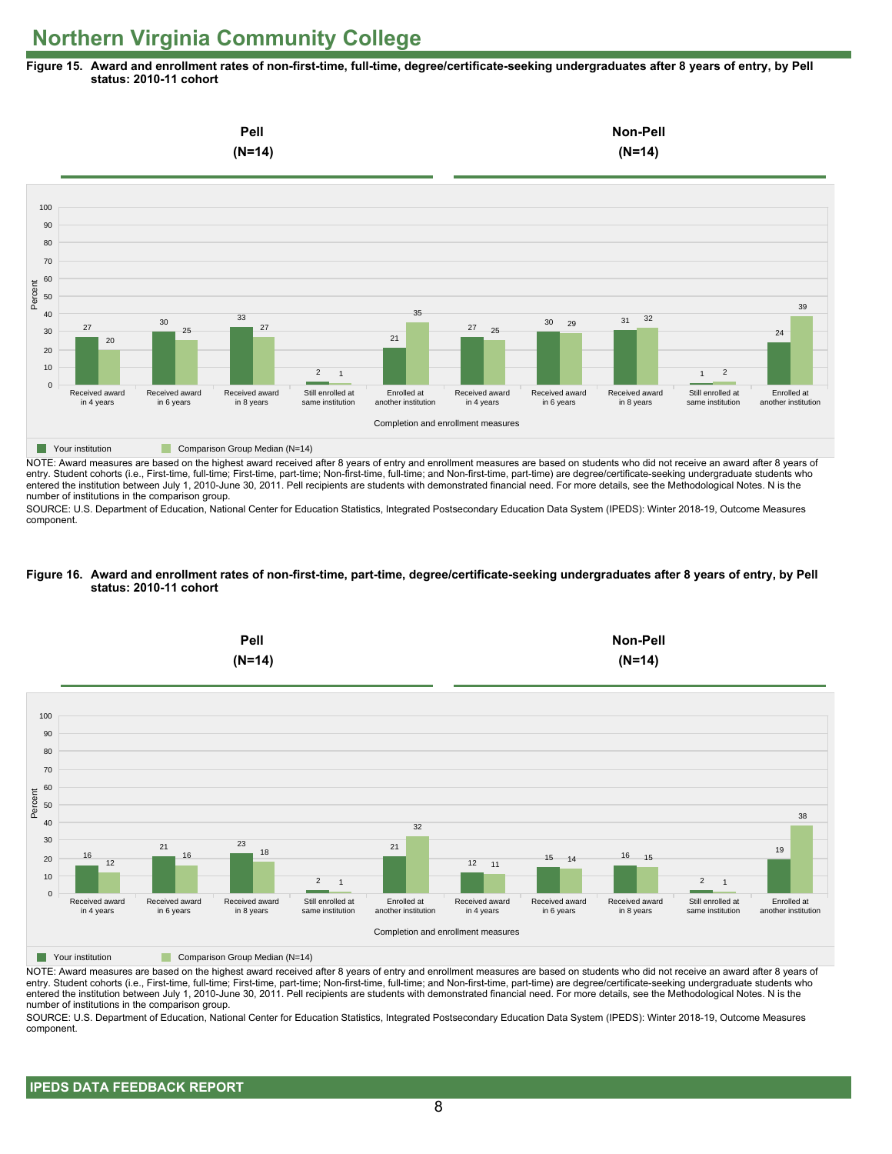**Figure 15. Award and enrollment rates of non-first-time, full-time, degree/certificate-seeking undergraduates after 8 years of entry, by Pell status: 2010-11 cohort**



NOTE: Award measures are based on the highest award received after 8 years of entry and enrollment measures are based on students who did not receive an award after 8 years of entry. Student cohorts (i.e., First-time, full-time; First-time, part-time; Non-first-time, full-time; and Non-first-time, part-time) are degree/certificate-seeking undergraduate students who entered the institution between July 1, 2010-June 30, 2011. Pell recipients are students with demonstrated financial need. For more details, see the Methodological Notes. N is the number of institutions in the comparison group.

SOURCE: U.S. Department of Education, National Center for Education Statistics, Integrated Postsecondary Education Data System (IPEDS): Winter 2018-19, Outcome Measures component.

#### **Figure 16. Award and enrollment rates of non-first-time, part-time, degree/certificate-seeking undergraduates after 8 years of entry, by Pell status: 2010-11 cohort**



NOTE: Award measures are based on the highest award received after 8 years of entry and enrollment measures are based on students who did not receive an award after 8 years of entry. Student cohorts (i.e., First-time, full-time; First-time, part-time; Non-first-time, full-time; and Non-first-time, part-time) are degree/certificate-seeking undergraduate students who entered the institution between July 1, 2010-June 30, 2011. Pell recipients are students with demonstrated financial need. For more details, see the Methodological Notes. N is the number of institutions in the comparison group.

SOURCE: U.S. Department of Education, National Center for Education Statistics, Integrated Postsecondary Education Data System (IPEDS): Winter 2018-19, Outcome Measures component.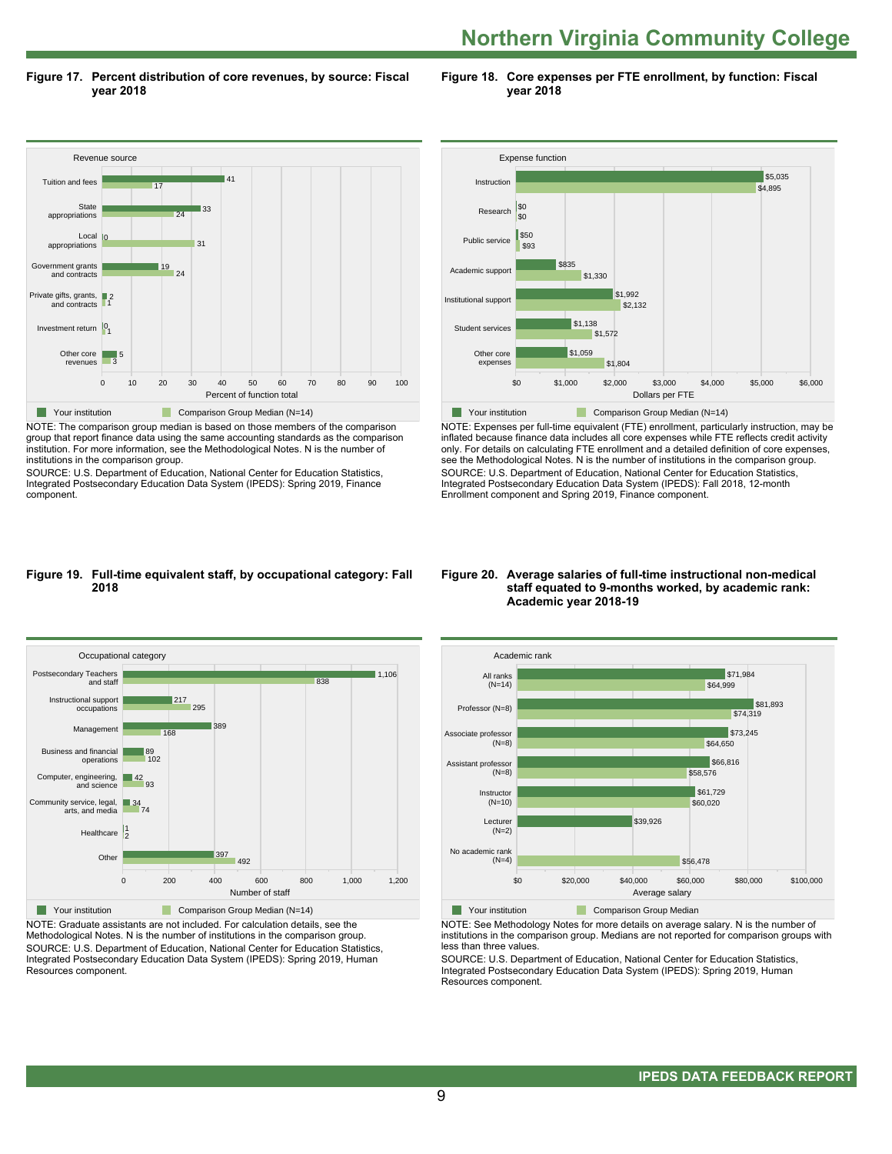**Figure 17. Percent distribution of core revenues, by source: Fiscal year 2018**

**Figure 18. Core expenses per FTE enrollment, by function: Fiscal year 2018**



NOTE: The comparison group median is based on those members of the comparison group that report finance data using the same accounting standards as the comparison institution. For more information, see the Methodological Notes. N is the number of institutions in the comparison group.

SOURCE: U.S. Department of Education, National Center for Education Statistics, Integrated Postsecondary Education Data System (IPEDS): Spring 2019, Finance component.



NOTE: Expenses per full-time equivalent (FTE) enrollment, particularly instruction, may be inflated because finance data includes all core expenses while FTE reflects credit activity only. For details on calculating FTE enrollment and a detailed definition of core expenses, see the Methodological Notes. N is the number of institutions in the comparison group. SOURCE: U.S. Department of Education, National Center for Education Statistics, Integrated Postsecondary Education Data System (IPEDS): Fall 2018, 12-month Enrollment component and Spring 2019, Finance component.

#### **Figure 19. Full-time equivalent staff, by occupational category: Fall 2018**



NOTE: Graduate assistants are not included. For calculation details, see the Methodological Notes. N is the number of institutions in the comparison group. SOURCE: U.S. Department of Education, National Center for Education Statistics, Integrated Postsecondary Education Data System (IPEDS): Spring 2019, Human Resources component.

#### **Figure 20. Average salaries of full-time instructional non-medical staff equated to 9-months worked, by academic rank: Academic year 2018-19**



NOTE: See Methodology Notes for more details on average salary. N is the number of institutions in the comparison group. Medians are not reported for comparison groups with less than three values.

SOURCE: U.S. Department of Education, National Center for Education Statistics, Integrated Postsecondary Education Data System (IPEDS): Spring 2019, Human Resources component.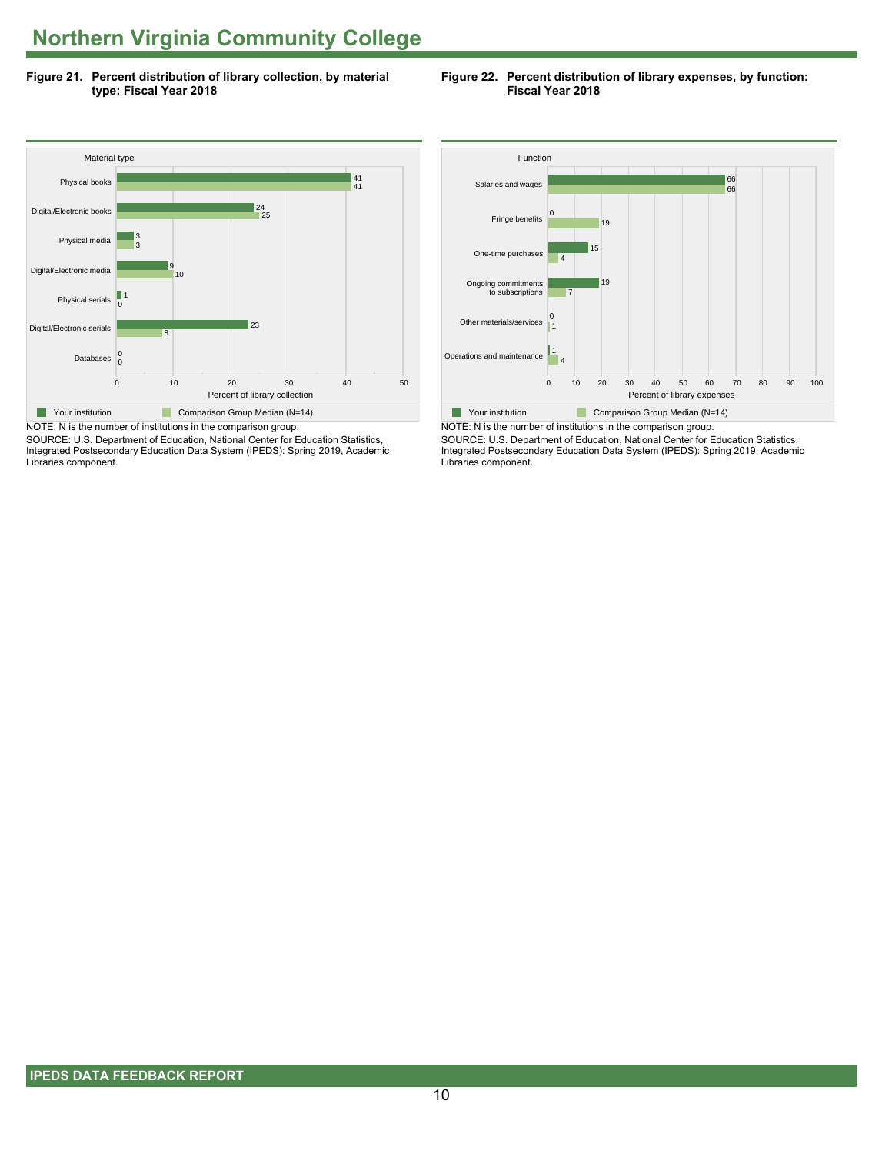**Figure 21. Percent distribution of library collection, by material type: Fiscal Year 2018**

**Figure 22. Percent distribution of library expenses, by function: Fiscal Year 2018**



SOURCE: U.S. Department of Education, National Center for Education Statistics, Integrated Postsecondary Education Data System (IPEDS): Spring 2019, Academic Libraries component.



NOTE: N is the number of institutions in the comparison group. SOURCE: U.S. Department of Education, National Center for Education Statistics, Integrated Postsecondary Education Data System (IPEDS): Spring 2019, Academic Libraries component.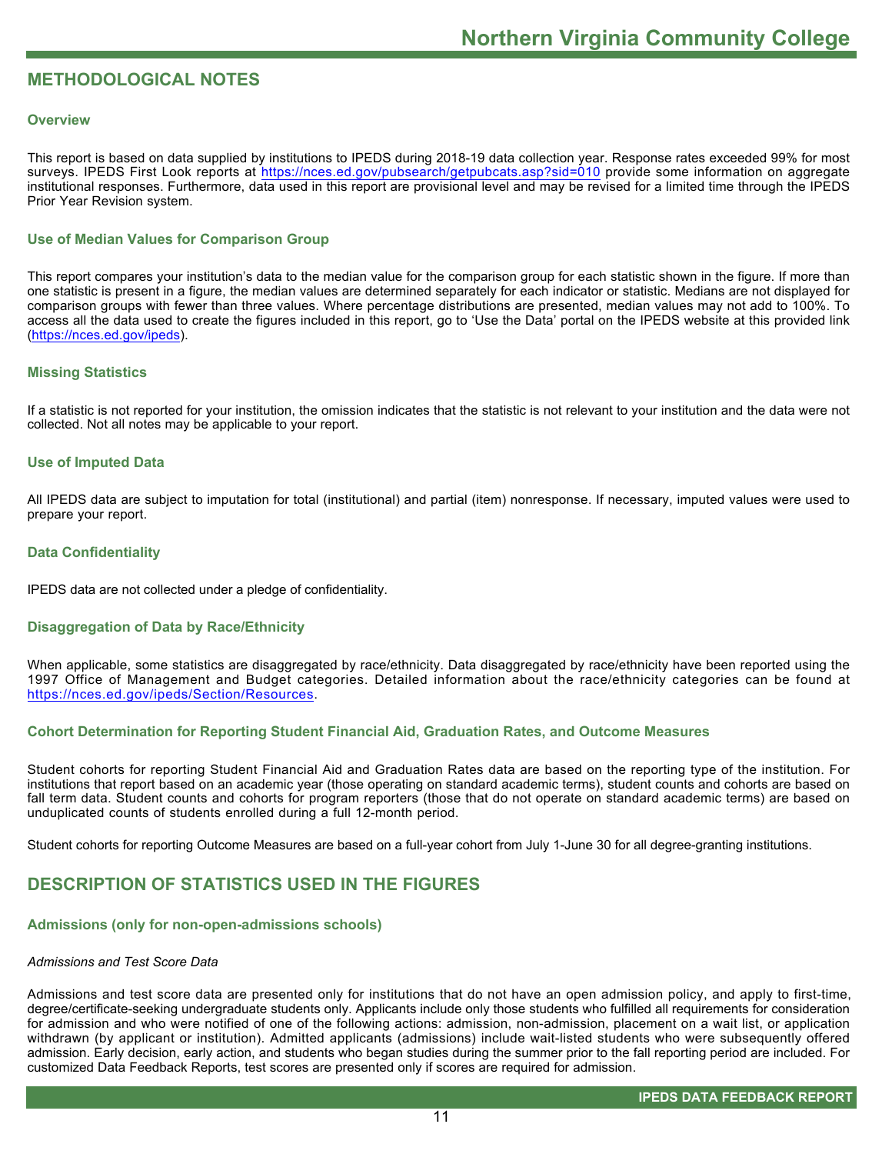# **METHODOLOGICAL NOTES**

#### **Overview**

This report is based on data supplied by institutions to IPEDS during 2018-19 data collection year. Response rates exceeded 99% for most surveys. IPEDS First Look reports at<https://nces.ed.gov/pubsearch/getpubcats.asp?sid=010> provide some information on aggregate institutional responses. Furthermore, data used in this report are provisional level and may be revised for a limited time through the IPEDS Prior Year Revision system.

#### **Use of Median Values for Comparison Group**

This report compares your institution's data to the median value for the comparison group for each statistic shown in the figure. If more than one statistic is present in a figure, the median values are determined separately for each indicator or statistic. Medians are not displayed for comparison groups with fewer than three values. Where percentage distributions are presented, median values may not add to 100%. To access all the data used to create the figures included in this report, go to 'Use the Data' portal on the IPEDS website at this provided link ([https://nces.ed.gov/ipeds\)](https://nces.ed.gov/ipeds).

#### **Missing Statistics**

If a statistic is not reported for your institution, the omission indicates that the statistic is not relevant to your institution and the data were not collected. Not all notes may be applicable to your report.

#### **Use of Imputed Data**

All IPEDS data are subject to imputation for total (institutional) and partial (item) nonresponse. If necessary, imputed values were used to prepare your report.

#### **Data Confidentiality**

IPEDS data are not collected under a pledge of confidentiality.

#### **Disaggregation of Data by Race/Ethnicity**

When applicable, some statistics are disaggregated by race/ethnicity. Data disaggregated by race/ethnicity have been reported using the 1997 Office of Management and Budget categories. Detailed information about the race/ethnicity categories can be found at <https://nces.ed.gov/ipeds/Section/Resources>.

#### **Cohort Determination for Reporting Student Financial Aid, Graduation Rates, and Outcome Measures**

Student cohorts for reporting Student Financial Aid and Graduation Rates data are based on the reporting type of the institution. For institutions that report based on an academic year (those operating on standard academic terms), student counts and cohorts are based on fall term data. Student counts and cohorts for program reporters (those that do not operate on standard academic terms) are based on unduplicated counts of students enrolled during a full 12-month period.

Student cohorts for reporting Outcome Measures are based on a full-year cohort from July 1-June 30 for all degree-granting institutions.

## **DESCRIPTION OF STATISTICS USED IN THE FIGURES**

#### **Admissions (only for non-open-admissions schools)**

#### *Admissions and Test Score Data*

Admissions and test score data are presented only for institutions that do not have an open admission policy, and apply to first-time, degree/certificate-seeking undergraduate students only. Applicants include only those students who fulfilled all requirements for consideration for admission and who were notified of one of the following actions: admission, non-admission, placement on a wait list, or application withdrawn (by applicant or institution). Admitted applicants (admissions) include wait-listed students who were subsequently offered admission. Early decision, early action, and students who began studies during the summer prior to the fall reporting period are included. For customized Data Feedback Reports, test scores are presented only if scores are required for admission.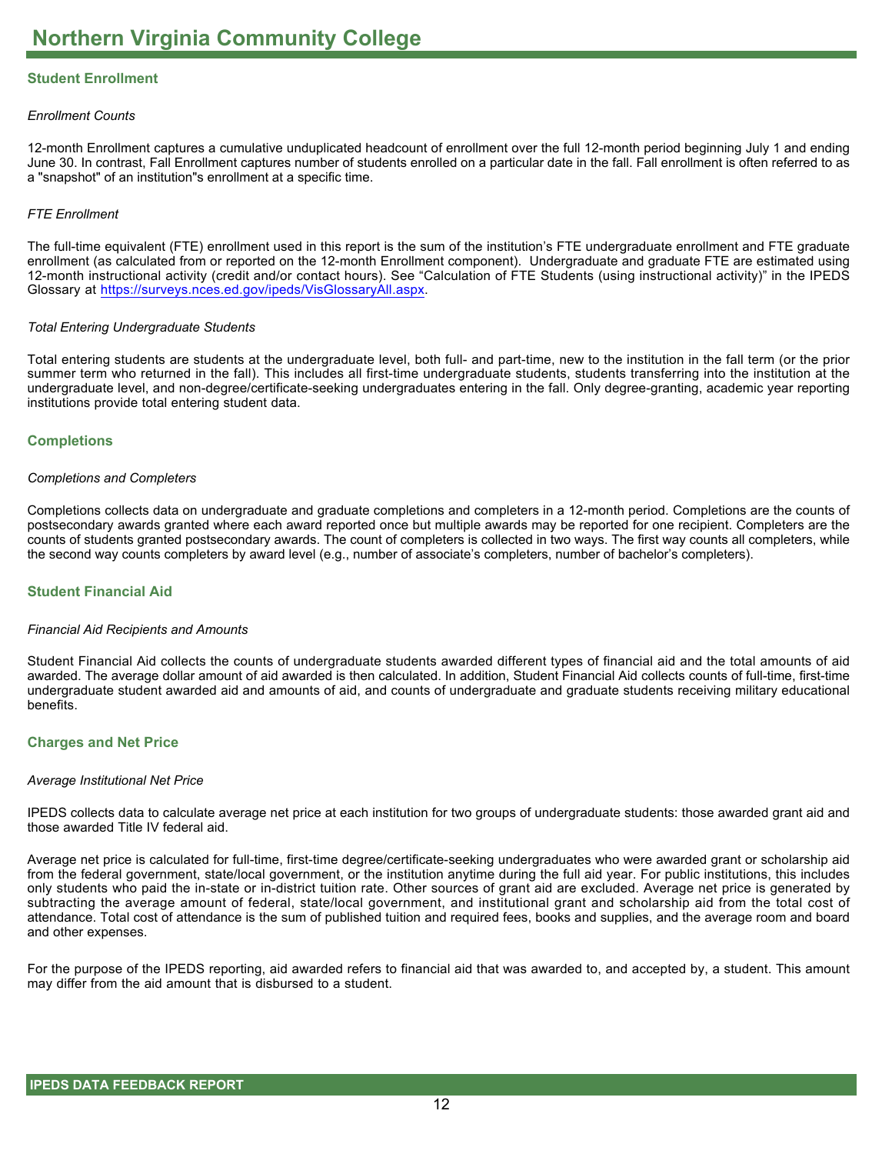### **Student Enrollment**

#### *Enrollment Counts*

12-month Enrollment captures a cumulative unduplicated headcount of enrollment over the full 12-month period beginning July 1 and ending June 30. In contrast, Fall Enrollment captures number of students enrolled on a particular date in the fall. Fall enrollment is often referred to as a "snapshot" of an institution"s enrollment at a specific time.

#### *FTE Enrollment*

The full-time equivalent (FTE) enrollment used in this report is the sum of the institution's FTE undergraduate enrollment and FTE graduate enrollment (as calculated from or reported on the 12-month Enrollment component). Undergraduate and graduate FTE are estimated using 12-month instructional activity (credit and/or contact hours). See "Calculation of FTE Students (using instructional activity)" in the IPEDS Glossary at <https://surveys.nces.ed.gov/ipeds/VisGlossaryAll.aspx>.

#### *Total Entering Undergraduate Students*

Total entering students are students at the undergraduate level, both full- and part-time, new to the institution in the fall term (or the prior summer term who returned in the fall). This includes all first-time undergraduate students, students transferring into the institution at the undergraduate level, and non-degree/certificate-seeking undergraduates entering in the fall. Only degree-granting, academic year reporting institutions provide total entering student data.

#### **Completions**

#### *Completions and Completers*

Completions collects data on undergraduate and graduate completions and completers in a 12-month period. Completions are the counts of postsecondary awards granted where each award reported once but multiple awards may be reported for one recipient. Completers are the counts of students granted postsecondary awards. The count of completers is collected in two ways. The first way counts all completers, while the second way counts completers by award level (e.g., number of associate's completers, number of bachelor's completers).

#### **Student Financial Aid**

#### *Financial Aid Recipients and Amounts*

Student Financial Aid collects the counts of undergraduate students awarded different types of financial aid and the total amounts of aid awarded. The average dollar amount of aid awarded is then calculated. In addition, Student Financial Aid collects counts of full-time, first-time undergraduate student awarded aid and amounts of aid, and counts of undergraduate and graduate students receiving military educational benefits.

#### **Charges and Net Price**

#### *Average Institutional Net Price*

IPEDS collects data to calculate average net price at each institution for two groups of undergraduate students: those awarded grant aid and those awarded Title IV federal aid.

Average net price is calculated for full-time, first-time degree/certificate-seeking undergraduates who were awarded grant or scholarship aid from the federal government, state/local government, or the institution anytime during the full aid year. For public institutions, this includes only students who paid the in-state or in-district tuition rate. Other sources of grant aid are excluded. Average net price is generated by subtracting the average amount of federal, state/local government, and institutional grant and scholarship aid from the total cost of attendance. Total cost of attendance is the sum of published tuition and required fees, books and supplies, and the average room and board and other expenses.

For the purpose of the IPEDS reporting, aid awarded refers to financial aid that was awarded to, and accepted by, a student. This amount may differ from the aid amount that is disbursed to a student.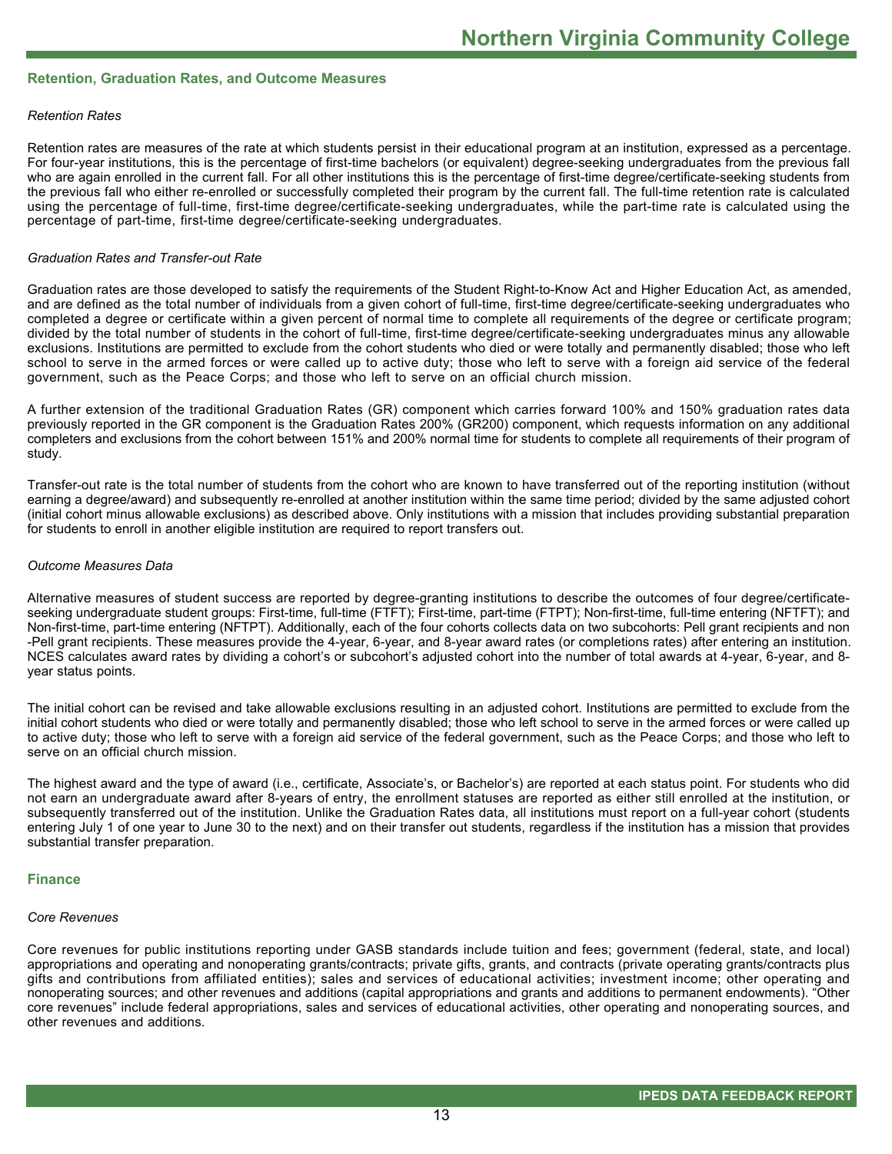#### **Retention, Graduation Rates, and Outcome Measures**

#### *Retention Rates*

Retention rates are measures of the rate at which students persist in their educational program at an institution, expressed as a percentage. For four-year institutions, this is the percentage of first-time bachelors (or equivalent) degree-seeking undergraduates from the previous fall who are again enrolled in the current fall. For all other institutions this is the percentage of first-time degree/certificate-seeking students from the previous fall who either re-enrolled or successfully completed their program by the current fall. The full-time retention rate is calculated using the percentage of full-time, first-time degree/certificate-seeking undergraduates, while the part-time rate is calculated using the percentage of part-time, first-time degree/certificate-seeking undergraduates.

#### *Graduation Rates and Transfer-out Rate*

Graduation rates are those developed to satisfy the requirements of the Student Right-to-Know Act and Higher Education Act, as amended, and are defined as the total number of individuals from a given cohort of full-time, first-time degree/certificate-seeking undergraduates who completed a degree or certificate within a given percent of normal time to complete all requirements of the degree or certificate program; divided by the total number of students in the cohort of full-time, first-time degree/certificate-seeking undergraduates minus any allowable exclusions. Institutions are permitted to exclude from the cohort students who died or were totally and permanently disabled; those who left school to serve in the armed forces or were called up to active duty; those who left to serve with a foreign aid service of the federal government, such as the Peace Corps; and those who left to serve on an official church mission.

A further extension of the traditional Graduation Rates (GR) component which carries forward 100% and 150% graduation rates data previously reported in the GR component is the Graduation Rates 200% (GR200) component, which requests information on any additional completers and exclusions from the cohort between 151% and 200% normal time for students to complete all requirements of their program of study.

Transfer-out rate is the total number of students from the cohort who are known to have transferred out of the reporting institution (without earning a degree/award) and subsequently re-enrolled at another institution within the same time period; divided by the same adjusted cohort (initial cohort minus allowable exclusions) as described above. Only institutions with a mission that includes providing substantial preparation for students to enroll in another eligible institution are required to report transfers out.

#### *Outcome Measures Data*

Alternative measures of student success are reported by degree-granting institutions to describe the outcomes of four degree/certificateseeking undergraduate student groups: First-time, full-time (FTFT); First-time, part-time (FTPT); Non-first-time, full-time entering (NFTFT); and Non-first-time, part-time entering (NFTPT). Additionally, each of the four cohorts collects data on two subcohorts: Pell grant recipients and non -Pell grant recipients. These measures provide the 4-year, 6-year, and 8-year award rates (or completions rates) after entering an institution. NCES calculates award rates by dividing a cohort's or subcohort's adjusted cohort into the number of total awards at 4-year, 6-year, and 8year status points.

The initial cohort can be revised and take allowable exclusions resulting in an adjusted cohort. Institutions are permitted to exclude from the initial cohort students who died or were totally and permanently disabled; those who left school to serve in the armed forces or were called up to active duty; those who left to serve with a foreign aid service of the federal government, such as the Peace Corps; and those who left to serve on an official church mission.

The highest award and the type of award (i.e., certificate, Associate's, or Bachelor's) are reported at each status point. For students who did not earn an undergraduate award after 8-years of entry, the enrollment statuses are reported as either still enrolled at the institution, or subsequently transferred out of the institution. Unlike the Graduation Rates data, all institutions must report on a full-year cohort (students entering July 1 of one year to June 30 to the next) and on their transfer out students, regardless if the institution has a mission that provides substantial transfer preparation.

#### **Finance**

#### *Core Revenues*

Core revenues for public institutions reporting under GASB standards include tuition and fees; government (federal, state, and local) appropriations and operating and nonoperating grants/contracts; private gifts, grants, and contracts (private operating grants/contracts plus gifts and contributions from affiliated entities); sales and services of educational activities; investment income; other operating and nonoperating sources; and other revenues and additions (capital appropriations and grants and additions to permanent endowments). "Other core revenues" include federal appropriations, sales and services of educational activities, other operating and nonoperating sources, and other revenues and additions.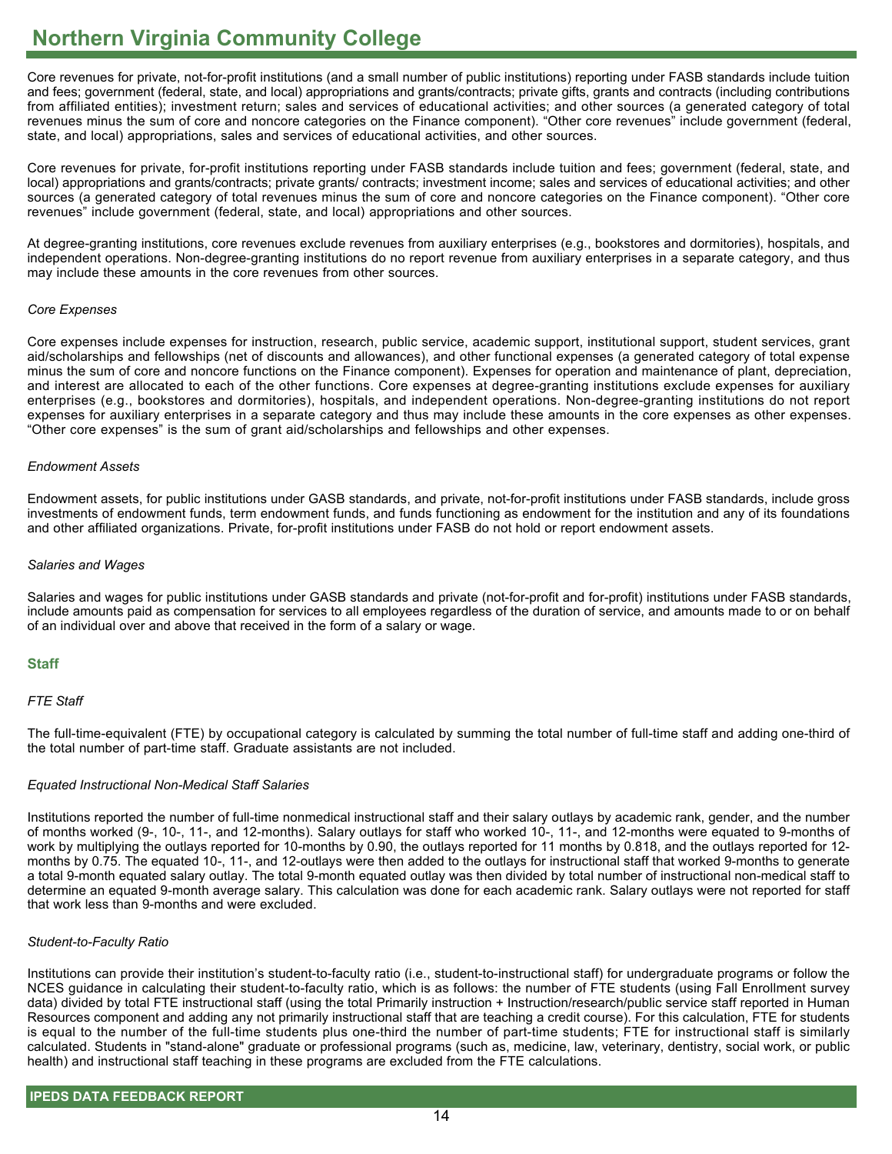Core revenues for private, not-for-profit institutions (and a small number of public institutions) reporting under FASB standards include tuition and fees; government (federal, state, and local) appropriations and grants/contracts; private gifts, grants and contracts (including contributions from affiliated entities); investment return; sales and services of educational activities; and other sources (a generated category of total revenues minus the sum of core and noncore categories on the Finance component). "Other core revenues" include government (federal, state, and local) appropriations, sales and services of educational activities, and other sources.

Core revenues for private, for-profit institutions reporting under FASB standards include tuition and fees; government (federal, state, and local) appropriations and grants/contracts; private grants/ contracts; investment income; sales and services of educational activities; and other sources (a generated category of total revenues minus the sum of core and noncore categories on the Finance component). "Other core revenues" include government (federal, state, and local) appropriations and other sources.

At degree-granting institutions, core revenues exclude revenues from auxiliary enterprises (e.g., bookstores and dormitories), hospitals, and independent operations. Non-degree-granting institutions do no report revenue from auxiliary enterprises in a separate category, and thus may include these amounts in the core revenues from other sources.

#### *Core Expenses*

Core expenses include expenses for instruction, research, public service, academic support, institutional support, student services, grant aid/scholarships and fellowships (net of discounts and allowances), and other functional expenses (a generated category of total expense minus the sum of core and noncore functions on the Finance component). Expenses for operation and maintenance of plant, depreciation, and interest are allocated to each of the other functions. Core expenses at degree-granting institutions exclude expenses for auxiliary enterprises (e.g., bookstores and dormitories), hospitals, and independent operations. Non-degree-granting institutions do not report expenses for auxiliary enterprises in a separate category and thus may include these amounts in the core expenses as other expenses. "Other core expenses" is the sum of grant aid/scholarships and fellowships and other expenses.

#### *Endowment Assets*

Endowment assets, for public institutions under GASB standards, and private, not-for-profit institutions under FASB standards, include gross investments of endowment funds, term endowment funds, and funds functioning as endowment for the institution and any of its foundations and other affiliated organizations. Private, for-profit institutions under FASB do not hold or report endowment assets.

#### *Salaries and Wages*

Salaries and wages for public institutions under GASB standards and private (not-for-profit and for-profit) institutions under FASB standards, include amounts paid as compensation for services to all employees regardless of the duration of service, and amounts made to or on behalf of an individual over and above that received in the form of a salary or wage.

#### **Staff**

#### *FTE Staff*

The full-time-equivalent (FTE) by occupational category is calculated by summing the total number of full-time staff and adding one-third of the total number of part-time staff. Graduate assistants are not included.

#### *Equated Instructional Non-Medical Staff Salaries*

Institutions reported the number of full-time nonmedical instructional staff and their salary outlays by academic rank, gender, and the number of months worked (9-, 10-, 11-, and 12-months). Salary outlays for staff who worked 10-, 11-, and 12-months were equated to 9-months of work by multiplying the outlays reported for 10-months by 0.90, the outlays reported for 11 months by 0.818, and the outlays reported for 12 months by 0.75. The equated 10-, 11-, and 12-outlays were then added to the outlays for instructional staff that worked 9-months to generate a total 9-month equated salary outlay. The total 9-month equated outlay was then divided by total number of instructional non-medical staff to determine an equated 9-month average salary. This calculation was done for each academic rank. Salary outlays were not reported for staff that work less than 9-months and were excluded.

#### *Student-to-Faculty Ratio*

Institutions can provide their institution's student-to-faculty ratio (i.e., student-to-instructional staff) for undergraduate programs or follow the NCES guidance in calculating their student-to-faculty ratio, which is as follows: the number of FTE students (using Fall Enrollment survey data) divided by total FTE instructional staff (using the total Primarily instruction + Instruction/research/public service staff reported in Human Resources component and adding any not primarily instructional staff that are teaching a credit course). For this calculation, FTE for students is equal to the number of the full-time students plus one-third the number of part-time students; FTE for instructional staff is similarly calculated. Students in "stand-alone" graduate or professional programs (such as, medicine, law, veterinary, dentistry, social work, or public health) and instructional staff teaching in these programs are excluded from the FTE calculations.